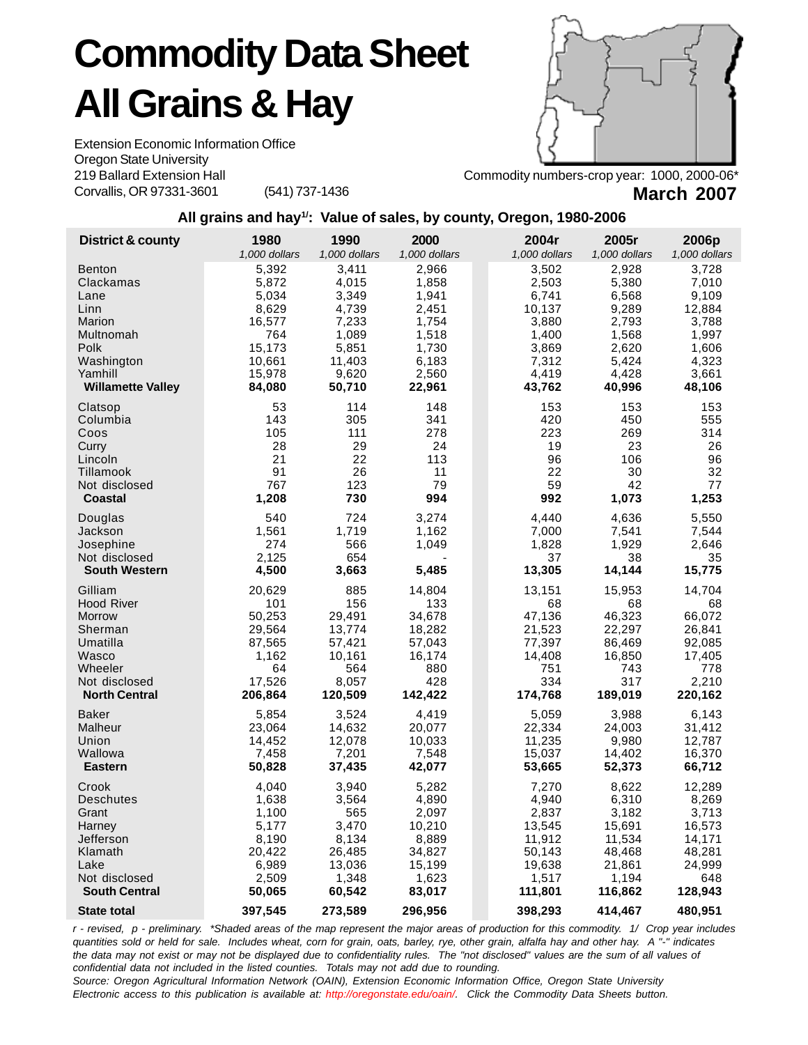## **Commodity Data Sheet All Grains & Hay**

Extension Economic Information Office Oregon State University 219 Ballard Extension Hall Corvallis, OR 97331-3601 (541) 737-1436



Commodity numbers-crop year: 1000, 2000-06\* **March 2007**

## **All grains and hay1/: Value of sales, by county, Oregon, 1980-2006**

| District & county                     | 1980                   | 1990                   | 2000                   | 2004r                  | 2005r                  | 2006p                  |
|---------------------------------------|------------------------|------------------------|------------------------|------------------------|------------------------|------------------------|
| <b>Benton</b>                         | 1,000 dollars<br>5,392 | 1,000 dollars<br>3,411 | 1,000 dollars<br>2,966 | 1,000 dollars<br>3,502 | 1,000 dollars<br>2,928 | 1,000 dollars<br>3,728 |
| Clackamas                             | 5,872                  | 4,015                  | 1,858                  | 2,503                  | 5,380                  | 7,010                  |
| Lane                                  | 5,034                  | 3,349                  | 1,941                  | 6,741                  | 6,568                  | 9,109                  |
| Linn                                  | 8,629                  | 4,739                  | 2.451                  | 10,137                 | 9,289                  | 12,884                 |
| Marion                                | 16,577                 | 7,233                  | 1,754                  | 3,880                  | 2,793                  | 3,788                  |
| Multnomah<br>Polk                     | 764<br>15,173          | 1,089<br>5,851         | 1,518<br>1,730         | 1,400<br>3,869         | 1,568<br>2,620         | 1,997<br>1,606         |
| Washington                            | 10,661                 | 11,403                 | 6,183                  | 7,312                  | 5,424                  | 4,323                  |
| Yamhill                               | 15,978                 | 9,620                  | 2,560                  | 4,419                  | 4,428                  | 3,661                  |
| <b>Willamette Valley</b>              | 84,080                 | 50,710                 | 22,961                 | 43,762                 | 40,996                 | 48,106                 |
| Clatsop                               | 53                     | 114                    | 148                    | 153                    | 153                    | 153                    |
| Columbia<br>Coos                      | 143                    | 305<br>111             | 341<br>278             | 420                    | 450                    | 555<br>314             |
| Curry                                 | 105<br>28              | 29                     | 24                     | 223<br>19              | 269<br>23              | 26                     |
| Lincoln                               | 21                     | 22                     | 113                    | 96                     | 106                    | 96                     |
| Tillamook                             | 91                     | 26                     | 11                     | 22                     | 30                     | 32                     |
| Not disclosed                         | 767                    | 123                    | 79                     | 59                     | 42                     | 77                     |
| <b>Coastal</b>                        | 1,208                  | 730                    | 994                    | 992                    | 1,073                  | 1,253                  |
| Douglas                               | 540                    | 724                    | 3,274                  | 4,440                  | 4,636                  | 5,550                  |
| Jackson                               | 1,561                  | 1,719                  | 1,162                  | 7,000                  | 7,541                  | 7,544                  |
| Josephine                             | 274                    | 566                    | 1,049                  | 1,828                  | 1,929                  | 2,646                  |
| Not disclosed<br><b>South Western</b> | 2,125<br>4,500         | 654<br>3,663           | 5,485                  | 37<br>13,305           | 38<br>14,144           | 35<br>15,775           |
| Gilliam                               | 20,629                 | 885                    | 14,804                 | 13,151                 | 15,953                 | 14,704                 |
| <b>Hood River</b>                     | 101                    | 156                    | 133                    | 68                     | 68                     | 68                     |
| <b>Morrow</b>                         | 50,253                 | 29,491                 | 34,678                 | 47,136                 | 46,323                 | 66,072                 |
| Sherman                               | 29,564                 | 13,774                 | 18,282                 | 21,523                 | 22,297                 | 26,841                 |
| Umatilla<br>Wasco                     | 87,565<br>1,162        | 57,421<br>10,161       | 57,043<br>16,174       | 77,397<br>14,408       | 86,469<br>16,850       | 92,085<br>17,405       |
| Wheeler                               | 64                     | 564                    | 880                    | 751                    | 743                    | 778                    |
| Not disclosed                         | 17,526                 | 8,057                  | 428                    | 334                    | 317                    | 2,210                  |
| <b>North Central</b>                  | 206,864                | 120,509                | 142,422                | 174,768                | 189,019                | 220,162                |
| <b>Baker</b>                          | 5,854                  | 3,524                  | 4,419                  | 5,059                  | 3,988                  | 6,143                  |
| Malheur                               | 23,064                 | 14,632                 | 20,077                 | 22,334                 | 24,003                 | 31,412                 |
| Union<br>Wallowa                      | 14,452<br>7,458        | 12,078<br>7,201        | 10,033<br>7,548        | 11,235<br>15,037       | 9,980<br>14,402        | 12,787<br>16,370       |
| <b>Eastern</b>                        | 50,828                 | 37,435                 | 42,077                 | 53,665                 | 52,373                 | 66,712                 |
| Crook                                 | 4,040                  | 3,940                  | 5,282                  | 7,270                  | 8,622                  | 12,289                 |
| Deschutes                             | 1,638                  | 3,564                  | 4,890                  | 4,940                  | 6,310                  | 8,269                  |
| Grant                                 | 1,100                  | 565                    | 2,097                  | 2,837                  | 3,182                  | 3,713                  |
| Harney                                | 5,177                  | 3,470                  | 10,210                 | 13,545                 | 15,691                 | 16,573                 |
| Jefferson<br>Klamath                  | 8,190<br>20,422        | 8,134<br>26,485        | 8,889<br>34,827        | 11,912<br>50,143       | 11,534<br>48,468       | 14,171<br>48,281       |
| Lake                                  | 6,989                  | 13,036                 | 15,199                 | 19,638                 | 21,861                 | 24,999                 |
| Not disclosed                         | 2,509                  | 1,348                  | 1,623                  | 1,517                  | 1,194                  | 648                    |
| <b>South Central</b>                  | 50,065                 | 60,542                 | 83,017                 | 111,801                | 116,862                | 128,943                |
| <b>State total</b>                    | 397,545                | 273,589                | 296,956                | 398,293                | 414,467                | 480,951                |

*r - revised, p - preliminary. \*Shaded areas of the map represent the major areas of production for this commodity. 1/ Crop year includes quantities sold or held for sale. Includes wheat, corn for grain, oats, barley, rye, other grain, alfalfa hay and other hay. A "-" indicates the data may not exist or may not be displayed due to confidentiality rules. The "not disclosed" values are the sum of all values of confidential data not included in the listed counties. Totals may not add due to rounding.*

*Source: Oregon Agricultural Information Network (OAIN), Extension Economic Information Office, Oregon State University Electronic access to this publication is available at: http://oregonstate.edu/oain/. Click the Commodity Data Sheets button.*